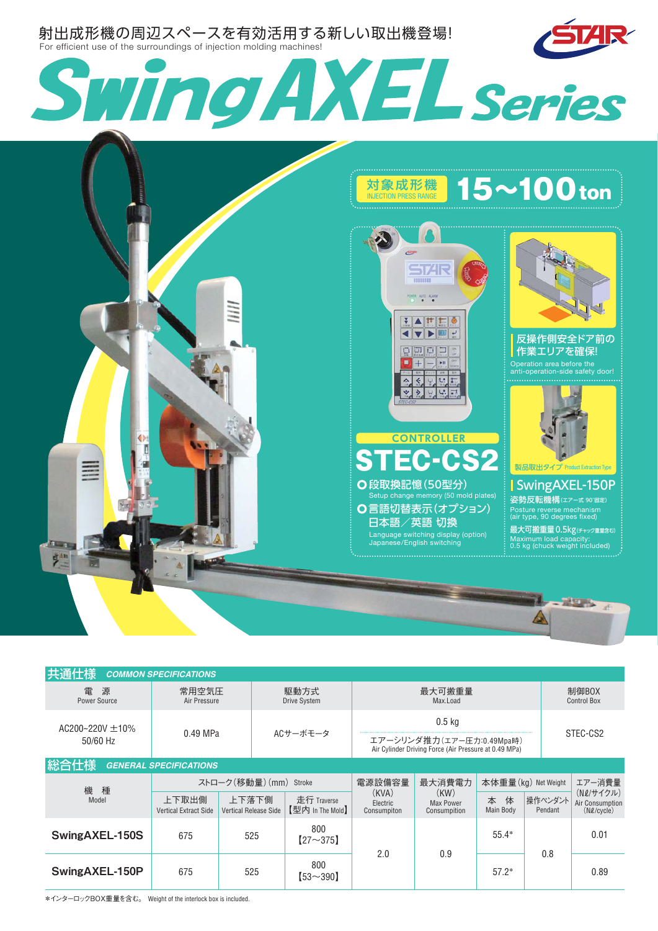

| 共通仕様                                  | <b>COMMON SPECIFICATIONS</b>          |                                       |                             |                                 |                                                                                                |                                   |                     |                    |                                                 |  |
|---------------------------------------|---------------------------------------|---------------------------------------|-----------------------------|---------------------------------|------------------------------------------------------------------------------------------------|-----------------------------------|---------------------|--------------------|-------------------------------------------------|--|
| 電<br>源<br>Power Source                | 常用空気圧<br>Air Pressure                 |                                       | 駆動方式<br><b>Drive System</b> |                                 | 最大可搬重量<br>Max.Load                                                                             |                                   |                     |                    | 制御BOX<br><b>Control Box</b>                     |  |
| AC200~220V $\pm$ 10%<br>50/60 Hz      | 0.49 MPa                              |                                       | ACサーボモータ                    |                                 | $0.5$ kg<br>エアーシリンダ推力(エアー圧力:0.49Mpa時)<br>Air Cylinder Driving Force (Air Pressure at 0.49 MPa) |                                   |                     |                    | STEC-CS2                                        |  |
| 総合仕様<br><b>GENERAL SPECIFICATIONS</b> |                                       |                                       |                             |                                 |                                                                                                |                                   |                     |                    |                                                 |  |
| 機<br>種                                | ストローク(移動量)(mm) Stroke                 |                                       |                             |                                 | 電源設備容量                                                                                         | 最大消費電力                            | 本体重量(kg) Net Weight |                    | エアー消費量                                          |  |
| Model                                 | 上下取出側<br><b>Vertical Extract Side</b> | 上下落下側<br><b>Vertical Release Side</b> |                             | 走行 Traverse<br>【型内 In The Mold】 | (KVA)<br>Electric<br>Consumpiton                                                               | (KW)<br>Max Power<br>Consumpition | 本<br>体<br>Main Body | 操作ペンダント<br>Pendant | (N2/サイクル)<br>Air Consumption<br>$(N\ell/cycle)$ |  |
| SwingAXEL-150S                        | 675                                   | 525                                   |                             | 800<br>$[27 - 375]$             | 2.0                                                                                            | 0.9                               | $55.4*$             | 0.8                | 0.01                                            |  |
| SwingAXEL-150P                        | 675                                   | 525                                   |                             | 800<br>$[53 - 390]$             |                                                                                                |                                   | $57.2*$             |                    | 0.89                                            |  |